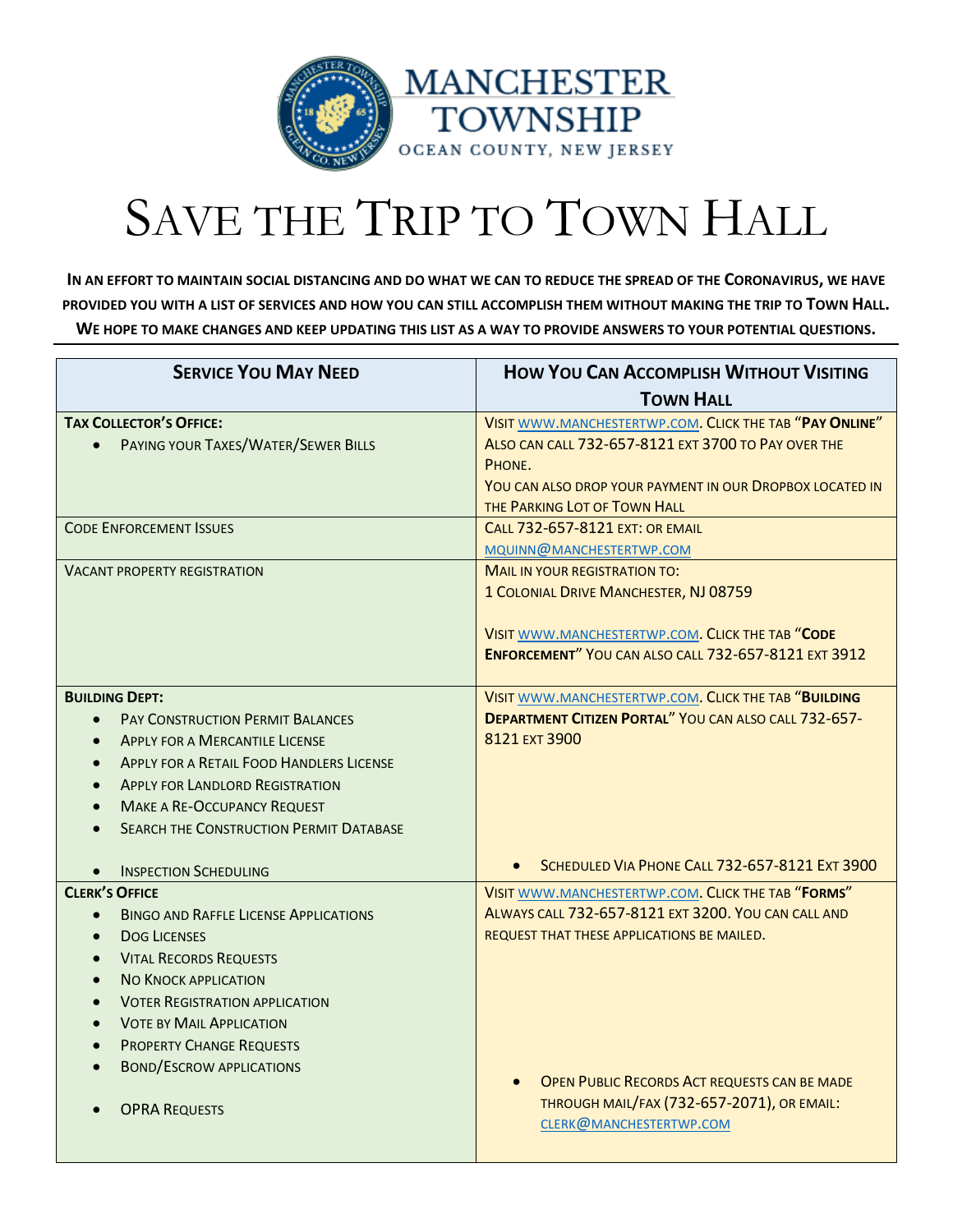

## SAVE THE TRIP TO TOWN HALL

**IN AN EFFORT TO MAINTAIN SOCIAL DISTANCING AND DO WHAT WE CAN TO REDUCE THE SPREAD OF THE CORONAVIRUS, WE HAVE PROVIDED YOU WITH A LIST OF SERVICES AND HOW YOU CAN STILL ACCOMPLISH THEM WITHOUT MAKING THE TRIP TO TOWN HALL. WE HOPE TO MAKE CHANGES AND KEEP UPDATING THIS LIST AS A WAY TO PROVIDE ANSWERS TO YOUR POTENTIAL QUESTIONS.**

| <b>SERVICE YOU MAY NEED</b>                                                                                                                                                                                                                                                                                                              | <b>HOW YOU CAN ACCOMPLISH WITHOUT VISITING</b>                                                                                                                                                                       |
|------------------------------------------------------------------------------------------------------------------------------------------------------------------------------------------------------------------------------------------------------------------------------------------------------------------------------------------|----------------------------------------------------------------------------------------------------------------------------------------------------------------------------------------------------------------------|
|                                                                                                                                                                                                                                                                                                                                          | <b>TOWN HALL</b>                                                                                                                                                                                                     |
| <b>TAX COLLECTOR'S OFFICE:</b><br>PAYING YOUR TAXES/WATER/SEWER BILLS<br>$\bullet$                                                                                                                                                                                                                                                       | VISIT WWW.MANCHESTERTWP.COM. CLICK THE TAB "PAY ONLINE"<br>ALSO CAN CALL 732-657-8121 EXT 3700 TO PAY OVER THE<br>PHONE.<br>YOU CAN ALSO DROP YOUR PAYMENT IN OUR DROPBOX LOCATED IN<br>THE PARKING LOT OF TOWN HALL |
| <b>CODE ENFORCEMENT ISSUES</b>                                                                                                                                                                                                                                                                                                           | <b>CALL 732-657-8121 EXT: OR EMAIL</b><br>MQUINN@MANCHESTERTWP.COM                                                                                                                                                   |
| <b>VACANT PROPERTY REGISTRATION</b>                                                                                                                                                                                                                                                                                                      | <b>MAIL IN YOUR REGISTRATION TO:</b><br>1 COLONIAL DRIVE MANCHESTER, NJ 08759<br>VISIT WWW.MANCHESTERTWP.COM. CLICK THE TAB "CODE<br><b>ENFORCEMENT" YOU CAN ALSO CALL 732-657-8121 EXT 3912</b>                     |
| <b>BUILDING DEPT:</b><br><b>PAY CONSTRUCTION PERMIT BALANCES</b><br>$\bullet$<br><b>APPLY FOR A MERCANTILE LICENSE</b><br><b>APPLY FOR A RETAIL FOOD HANDLERS LICENSE</b><br><b>APPLY FOR LANDLORD REGISTRATION</b><br><b>MAKE A RE-OCCUPANCY REQUEST</b><br><b>SEARCH THE CONSTRUCTION PERMIT DATABASE</b>                              | VISIT WWW.MANCHESTERTWP.COM. CLICK THE TAB "BUILDING<br><b>DEPARTMENT CITIZEN PORTAL" YOU CAN ALSO CALL 732-657-</b><br>8121 EXT 3900                                                                                |
| <b>INSPECTION SCHEDULING</b>                                                                                                                                                                                                                                                                                                             | SCHEDULED VIA PHONE CALL 732-657-8121 EXT 3900                                                                                                                                                                       |
| <b>CLERK'S OFFICE</b><br><b>BINGO AND RAFFLE LICENSE APPLICATIONS</b><br>$\bullet$<br><b>DOG LICENSES</b><br>$\bullet$<br><b>VITAL RECORDS REQUESTS</b><br><b>NO KNOCK APPLICATION</b><br><b>VOTER REGISTRATION APPLICATION</b><br><b>VOTE BY MAIL APPLICATION</b><br><b>PROPERTY CHANGE REQUESTS</b><br><b>BOND/ESCROW APPLICATIONS</b> | VISIT WWW.MANCHESTERTWP.COM. CLICK THE TAB "FORMS"<br>ALWAYS CALL 732-657-8121 EXT 3200. YOU CAN CALL AND<br>REQUEST THAT THESE APPLICATIONS BE MAILED.<br><b>OPEN PUBLIC RECORDS ACT REQUESTS CAN BE MADE</b>       |
| <b>OPRA REQUESTS</b>                                                                                                                                                                                                                                                                                                                     | THROUGH MAIL/FAX (732-657-2071), OR EMAIL:<br>CLERK@MANCHESTERTWP.COM                                                                                                                                                |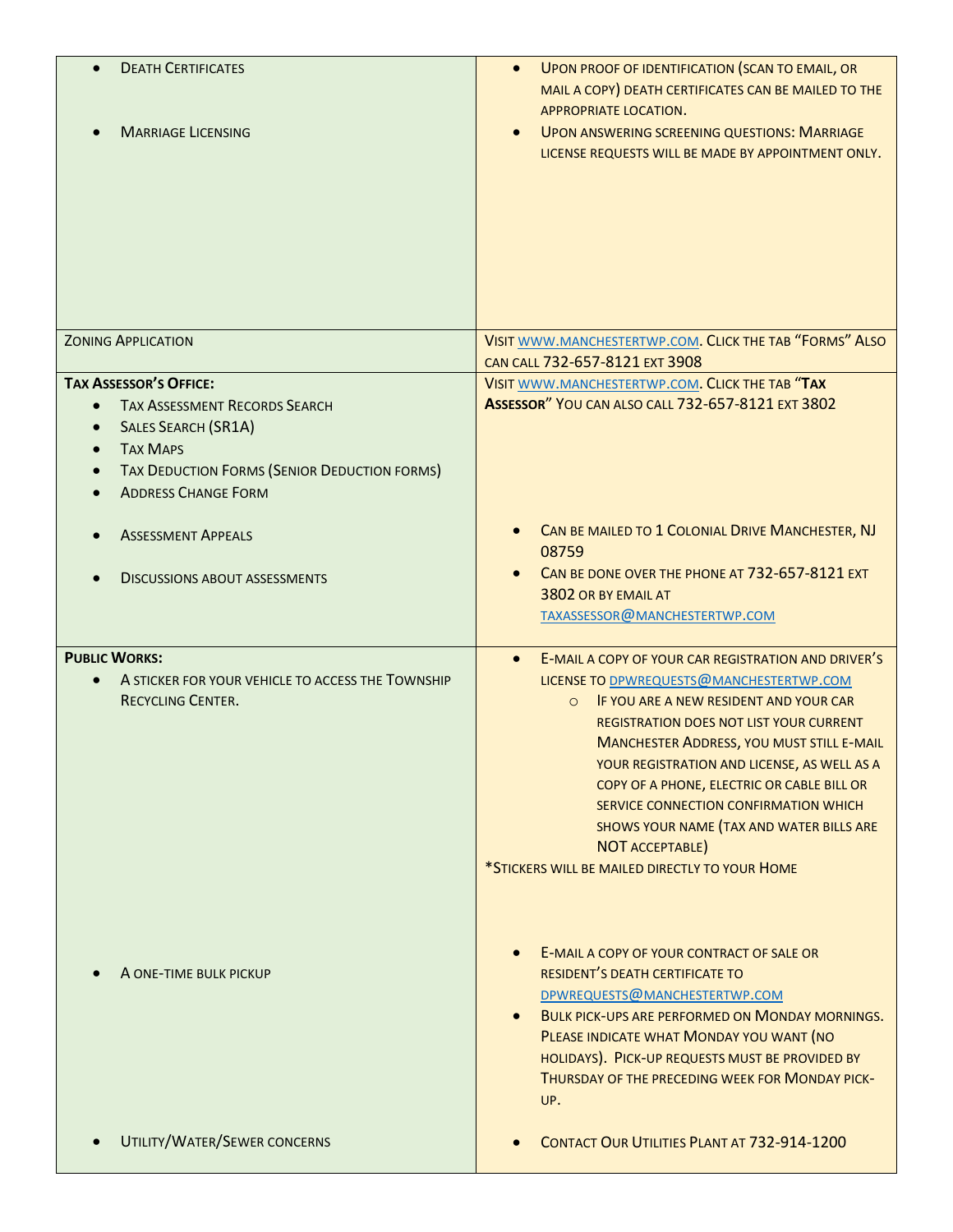| <b>DEATH CERTIFICATES</b><br><b>MARRIAGE LICENSING</b>                                                                                                                                                                                                   | UPON PROOF OF IDENTIFICATION (SCAN TO EMAIL, OR<br>MAIL A COPY) DEATH CERTIFICATES CAN BE MAILED TO THE<br>APPROPRIATE LOCATION.<br><b>UPON ANSWERING SCREENING QUESTIONS: MARRIAGE</b><br>LICENSE REQUESTS WILL BE MADE BY APPOINTMENT ONLY.                                                                                                                                                                                                                                                              |
|----------------------------------------------------------------------------------------------------------------------------------------------------------------------------------------------------------------------------------------------------------|------------------------------------------------------------------------------------------------------------------------------------------------------------------------------------------------------------------------------------------------------------------------------------------------------------------------------------------------------------------------------------------------------------------------------------------------------------------------------------------------------------|
| <b>ZONING APPLICATION</b>                                                                                                                                                                                                                                | VISIT WWW.MANCHESTERTWP.COM. CLICK THE TAB "FORMS" ALSO<br>CAN CALL 732-657-8121 EXT 3908                                                                                                                                                                                                                                                                                                                                                                                                                  |
| <b>TAX ASSESSOR'S OFFICE:</b><br><b>TAX ASSESSMENT RECORDS SEARCH</b><br>$\bullet$<br><b>SALES SEARCH (SR1A)</b><br>$\bullet$<br><b>TAX MAPS</b><br>$\bullet$<br>TAX DEDUCTION FORMS (SENIOR DEDUCTION FORMS)<br>$\bullet$<br><b>ADDRESS CHANGE FORM</b> | VISIT WWW.MANCHESTERTWP.COM. CLICK THE TAB "TAX<br><b>ASSESSOR" YOU CAN ALSO CALL 732-657-8121 EXT 3802</b>                                                                                                                                                                                                                                                                                                                                                                                                |
| <b>ASSESSMENT APPEALS</b><br><b>DISCUSSIONS ABOUT ASSESSMENTS</b>                                                                                                                                                                                        | CAN BE MAILED TO 1 COLONIAL DRIVE MANCHESTER, NJ<br>08759<br>CAN BE DONE OVER THE PHONE AT 732-657-8121 EXT<br>3802 OR BY EMAIL AT<br>TAXASSESSOR@MANCHESTERTWP.COM                                                                                                                                                                                                                                                                                                                                        |
| <b>PUBLIC WORKS:</b><br>A STICKER FOR YOUR VEHICLE TO ACCESS THE TOWNSHIP<br><b>RECYCLING CENTER.</b>                                                                                                                                                    | E-MAIL A COPY OF YOUR CAR REGISTRATION AND DRIVER'S<br>LICENSE TO DPWREQUESTS@MANCHESTERTWP.COM<br>IF YOU ARE A NEW RESIDENT AND YOUR CAR<br>$\circ$<br>REGISTRATION DOES NOT LIST YOUR CURRENT<br><b>MANCHESTER ADDRESS, YOU MUST STILL E-MAIL</b><br>YOUR REGISTRATION AND LICENSE, AS WELL AS A<br>COPY OF A PHONE, ELECTRIC OR CABLE BILL OR<br>SERVICE CONNECTION CONFIRMATION WHICH<br>SHOWS YOUR NAME (TAX AND WATER BILLS ARE<br>NOT ACCEPTABLE)<br>*STICKERS WILL BE MAILED DIRECTLY TO YOUR HOME |
| A ONE-TIME BULK PICKUP                                                                                                                                                                                                                                   | E-MAIL A COPY OF YOUR CONTRACT OF SALE OR<br>RESIDENT'S DEATH CERTIFICATE TO<br>DPWREQUESTS@MANCHESTERTWP.COM<br><b>BULK PICK-UPS ARE PERFORMED ON MONDAY MORNINGS.</b><br>PLEASE INDICATE WHAT MONDAY YOU WANT (NO<br>HOLIDAYS). PICK-UP REQUESTS MUST BE PROVIDED BY<br>THURSDAY OF THE PRECEDING WEEK FOR MONDAY PICK-<br>UP.                                                                                                                                                                           |
| UTILITY/WATER/SEWER CONCERNS                                                                                                                                                                                                                             | CONTACT OUR UTILITIES PLANT AT 732-914-1200                                                                                                                                                                                                                                                                                                                                                                                                                                                                |